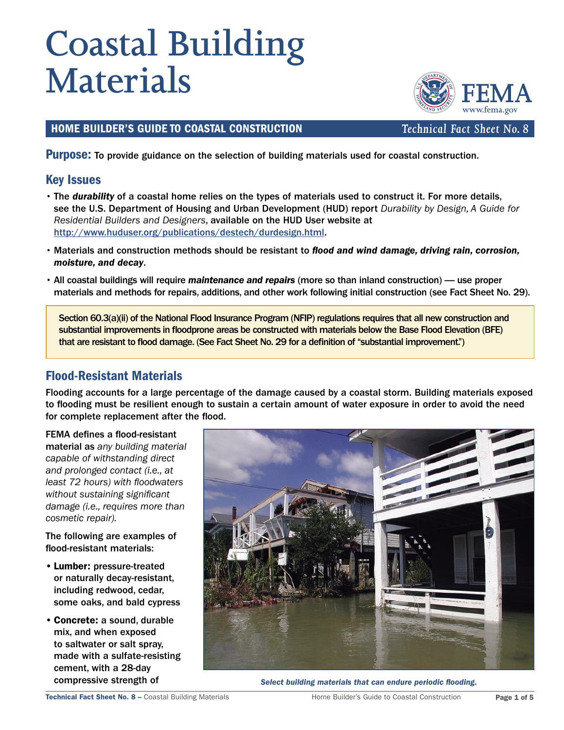# **Coastal Building Materials**

## HOME BUILDER'S GUIDE TO COASTAL CONSTRUCTION *Technical Fact Sheet No. 8*

**Purpose:** To provide guidance on the selection of building materials used for coastal construction.

## Key Issues

- The durability of a coastal home relies on the types of materials used to construct it. For more details, see the U.S. Department of Housing and Urban Development (HUD) report Durability by Design, A Guide for Residential Builders and Designers, available on the HUD User website at <http://www.huduser.org/publications/destech/durdesign.html>.
- Materials and construction methods should be resistant to flood and wind damage, driving rain, corrosion, moisture, and decay.
- All coastal buildings will require maintenance and repairs (more so than inland construction) use proper materials and methods for repairs, additions, and other work following initial construction (see Fact Sheet No. 29).

Section 60.3(a)(ii) of the National Flood Insurance Program (NFIP) regulations requires that all new construction and substantial improvements in floodprone areas be constructed with materials below the Base Flood Elevation (BFE) that are resistant to flood damage. (See Fact Sheet No. 29 for a definition of "substantial improvement.")

# Flood-Resistant Materials

Flooding accounts for a large percentage of the damage caused by a coastal storm. Building materials exposed to flooding must be resilient enough to sustain a certain amount of water exposure in order to avoid the need for complete replacement after the flood.

FEMA defines a flood-resistant material as any building material capable of withstanding direct and prolonged contact (i.e., at least 72 hours) with floodwaters without sustaining significant damage (i.e., requires more than cosmetic repair).

The following are examples of flood-resistant materials:

- Lumber: pressure-treated or naturally decay-resistant, including redwood, cedar, some oaks, and bald cypress
- Concrete: a sound, durable mix, and when exposed to saltwater or salt spray, made with a sulfate-resisting cement, with a 28-day



compressive strength of strength of Select building materials that can endure periodic flooding.

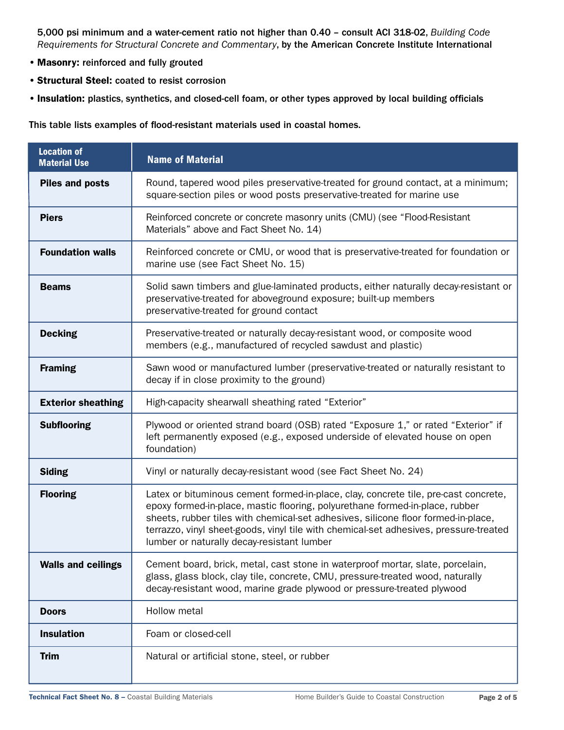5,000 psi minimum and a water-cement ratio not higher than 0.40 – consult ACI 318-02, Building Code Requirements for Structural Concrete and Commentary, by the American Concrete Institute International

- Masonry: reinforced and fully grouted
- Structural Steel: coated to resist corrosion
- Insulation: plastics, synthetics, and closed-cell foam, or other types approved by local building officials

This table lists examples of flood-resistant materials used in coastal homes.

| <b>Location of</b><br><b>Material Use</b> | <b>Name of Material</b>                                                                                                                                                                                                                                                                                                                                                                         |
|-------------------------------------------|-------------------------------------------------------------------------------------------------------------------------------------------------------------------------------------------------------------------------------------------------------------------------------------------------------------------------------------------------------------------------------------------------|
| <b>Piles and posts</b>                    | Round, tapered wood piles preservative-treated for ground contact, at a minimum;<br>square-section piles or wood posts preservative-treated for marine use                                                                                                                                                                                                                                      |
| <b>Piers</b>                              | Reinforced concrete or concrete masonry units (CMU) (see "Flood-Resistant<br>Materials" above and Fact Sheet No. 14)                                                                                                                                                                                                                                                                            |
| <b>Foundation walls</b>                   | Reinforced concrete or CMU, or wood that is preservative-treated for foundation or<br>marine use (see Fact Sheet No. 15)                                                                                                                                                                                                                                                                        |
| <b>Beams</b>                              | Solid sawn timbers and glue-laminated products, either naturally decay-resistant or<br>preservative-treated for aboveground exposure; built-up members<br>preservative-treated for ground contact                                                                                                                                                                                               |
| <b>Decking</b>                            | Preservative-treated or naturally decay-resistant wood, or composite wood<br>members (e.g., manufactured of recycled sawdust and plastic)                                                                                                                                                                                                                                                       |
| <b>Framing</b>                            | Sawn wood or manufactured lumber (preservative-treated or naturally resistant to<br>decay if in close proximity to the ground)                                                                                                                                                                                                                                                                  |
| <b>Exterior sheathing</b>                 | High-capacity shearwall sheathing rated "Exterior"                                                                                                                                                                                                                                                                                                                                              |
| <b>Subflooring</b>                        | Plywood or oriented strand board (OSB) rated "Exposure 1," or rated "Exterior" if<br>left permanently exposed (e.g., exposed underside of elevated house on open<br>foundation)                                                                                                                                                                                                                 |
| <b>Siding</b>                             | Vinyl or naturally decay-resistant wood (see Fact Sheet No. 24)                                                                                                                                                                                                                                                                                                                                 |
| <b>Flooring</b>                           | Latex or bituminous cement formed-in-place, clay, concrete tile, pre-cast concrete,<br>epoxy formed-in-place, mastic flooring, polyurethane formed-in-place, rubber<br>sheets, rubber tiles with chemical-set adhesives, silicone floor formed-in-place,<br>terrazzo, vinyl sheet-goods, vinyl tile with chemical-set adhesives, pressure-treated<br>lumber or naturally decay-resistant lumber |
| <b>Walls and ceilings</b>                 | Cement board, brick, metal, cast stone in waterproof mortar, slate, porcelain,<br>glass, glass block, clay tile, concrete, CMU, pressure-treated wood, naturally<br>decay-resistant wood, marine grade plywood or pressure-treated plywood                                                                                                                                                      |
| <b>Doors</b>                              | <b>Hollow metal</b>                                                                                                                                                                                                                                                                                                                                                                             |
| <b>Insulation</b>                         | Foam or closed-cell                                                                                                                                                                                                                                                                                                                                                                             |
| <b>Trim</b>                               | Natural or artificial stone, steel, or rubber                                                                                                                                                                                                                                                                                                                                                   |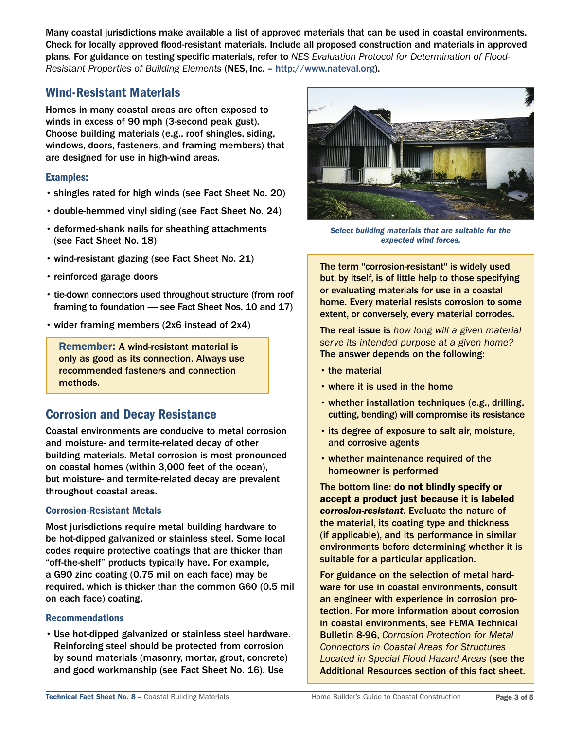Many coastal jurisdictions make available a list of approved materials that can be used in coastal environments. Check for locally approved flood-resistant materials. Include all proposed construction and materials in approved plans. For guidance on testing specific materials, refer to NES Evaluation Protocol for Determination of Flood-Resistant Properties of Building Elements (NES, Inc. – [http://www.nateval.org\)](http://www.nateval.org).

# Wind-Resistant Materials

Homes in many coastal areas are often exposed to winds in excess of 90 mph (3-second peak gust). Choose building materials (e.g., roof shingles, siding, windows, doors, fasteners, and framing members) that are designed for use in high-wind areas.

### Examples:

- shingles rated for high winds (see Fact Sheet No. 20)
- double-hemmed vinyl siding (see Fact Sheet No. 24)
- deformed-shank nails for sheathing attachments (see Fact Sheet No. 18)
- wind-resistant glazing (see Fact Sheet No. 21)
- reinforced garage doors
- tie-down connectors used throughout structure (from roof framing to foundation — see Fact Sheet Nos. 10 and 17)
- wider framing members (2x6 instead of 2x4)

Remember: A wind-resistant material is only as good as its connection. Always use recommended fasteners and connection methods.

# Corrosion and Decay Resistance

Coastal environments are conducive to metal corrosion and moisture- and termite-related decay of other building materials. Metal corrosion is most pronounced on coastal homes (within 3,000 feet of the ocean), but moisture- and termite-related decay are prevalent throughout coastal areas.

#### Corrosion-Resistant Metals

Most jurisdictions require metal building hardware to be hot-dipped galvanized or stainless steel. Some local codes require protective coatings that are thicker than "off-the-shelf" products typically have. For example, a G90 zinc coating (0.75 mil on each face) may be required, which is thicker than the common G60 (0.5 mil on each face) coating.

#### Recommendations

• Use hot-dipped galvanized or stainless steel hardware. Reinforcing steel should be protected from corrosion by sound materials (masonry, mortar, grout, concrete) and good workmanship (see Fact Sheet No. 16). Use



Select building materials that are suitable for the expected wind forces.

The term "corrosion-resistant" is widely used but, by itself, is of little help to those specifying or evaluating materials for use in a coastal home. Every material resists corrosion to some extent, or conversely, every material corrodes.

The real issue is how long will a given material serve its intended purpose at a given home? The answer depends on the following:

- the material
- where it is used in the home
- whether installation techniques (e.g., drilling, cutting, bending) will compromise its resistance
- its degree of exposure to salt air, moisture, and corrosive agents
- whether maintenance required of the homeowner is performed

The bottom line: do not blindly specify or accept a product just because it is labeled corrosion-resistant. Evaluate the nature of the material, its coating type and thickness (if applicable), and its performance in similar environments before determining whether it is suitable for a particular application.

For guidance on the selection of metal hardware for use in coastal environments, consult an engineer with experience in corrosion protection. For more information about corrosion in coastal environments, see FEMA Technical Bulletin 8-96, Corrosion Protection for Metal Connectors in Coastal Areas for Structures Located in Special Flood Hazard Areas (see the Additional Resources section of this fact sheet.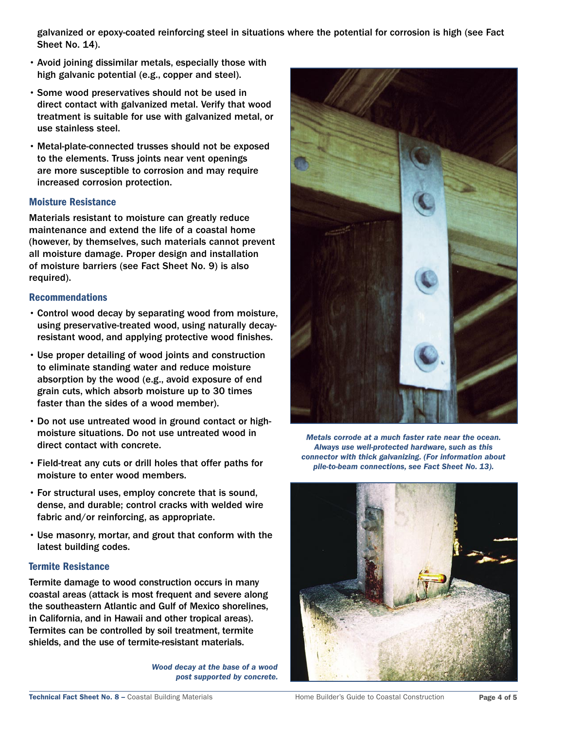galvanized or epoxy-coated reinforcing steel in situations where the potential for corrosion is high (see Fact Sheet No. 14).

- Avoid joining dissimilar metals, especially those with high galvanic potential (e.g., copper and steel).
- Some wood preservatives should not be used in direct contact with galvanized metal. Verify that wood treatment is suitable for use with galvanized metal, or use stainless steel.
- Metal-plate-connected trusses should not be exposed to the elements. Truss joints near vent openings are more susceptible to corrosion and may require increased corrosion protection.

#### Moisture Resistance

Materials resistant to moisture can greatly reduce maintenance and extend the life of a coastal home (however, by themselves, such materials cannot prevent all moisture damage. Proper design and installation of moisture barriers (see Fact Sheet No. 9) is also required).

#### Recommendations

- Control wood decay by separating wood from moisture, using preservative-treated wood, using naturally decayresistant wood, and applying protective wood finishes.
- Use proper detailing of wood joints and construction to eliminate standing water and reduce moisture absorption by the wood (e.g., avoid exposure of end grain cuts, which absorb moisture up to 30 times faster than the sides of a wood member).
- Do not use untreated wood in ground contact or highmoisture situations. Do not use untreated wood in direct contact with concrete.
- Field-treat any cuts or drill holes that offer paths for moisture to enter wood members.
- For structural uses, employ concrete that is sound, dense, and durable; control cracks with welded wire fabric and/or reinforcing, as appropriate.
- Use masonry, mortar, and grout that conform with the latest building codes.

#### Termite Resistance

Termite damage to wood construction occurs in many coastal areas (attack is most frequent and severe along the southeastern Atlantic and Gulf of Mexico shorelines, in California, and in Hawaii and other tropical areas). Termites can be controlled by soil treatment, termite shields, and the use of termite-resistant materials.

> Wood decay at the base of a wood post supported by concrete.



Metals corrode at a much faster rate near the ocean. Always use well-protected hardware, such as this connector with thick galvanizing. (For information about pile-to-beam connections, see Fact Sheet No. 13).